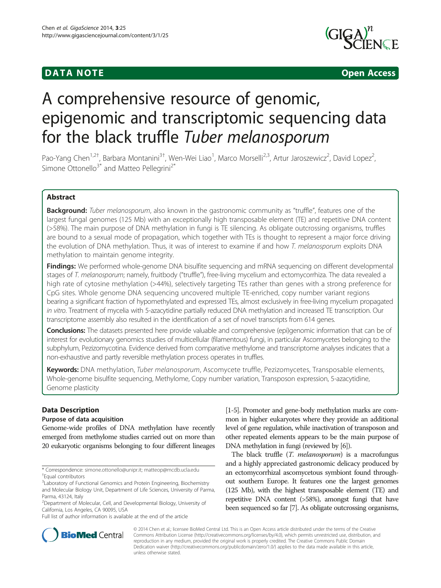# **DATA NOTE DATA NOTE** *DATA NOTE*



# A comprehensive resource of genomic, epigenomic and transcriptomic sequencing data for the black truffle Tuber melanosporum

Pao-Yang Chen<sup>1,2†</sup>, Barbara Montanini<sup>3†</sup>, Wen-Wei Liao<sup>1</sup>, Marco Morselli<sup>2,3</sup>, Artur Jaroszewicz<sup>2</sup>, David Lopez<sup>2</sup> .<br>, Simone Ottonello<sup>3\*</sup> and Matteo Pellegrini<sup>2\*</sup>

# Abstract

Background: Tuber melanosporum, also known in the gastronomic community as "truffle", features one of the largest fungal genomes (125 Mb) with an exceptionally high transposable element (TE) and repetitive DNA content (>58%). The main purpose of DNA methylation in fungi is TE silencing. As obligate outcrossing organisms, truffles are bound to a sexual mode of propagation, which together with TEs is thought to represent a major force driving the evolution of DNA methylation. Thus, it was of interest to examine if and how T. melanosporum exploits DNA methylation to maintain genome integrity.

Findings: We performed whole-genome DNA bisulfite sequencing and mRNA sequencing on different developmental stages of T. melanosporum; namely, fruitbody ("truffle"), free-living mycelium and ectomycorrhiza. The data revealed a high rate of cytosine methylation (>44%), selectively targeting TEs rather than genes with a strong preference for CpG sites. Whole genome DNA sequencing uncovered multiple TE-enriched, copy number variant regions bearing a significant fraction of hypomethylated and expressed TEs, almost exclusively in free-living mycelium propagated in vitro. Treatment of mycelia with 5-azacytidine partially reduced DNA methylation and increased TE transcription. Our transcriptome assembly also resulted in the identification of a set of novel transcripts from 614 genes.

**Conclusions:** The datasets presented here provide valuable and comprehensive (epi)genomic information that can be of interest for evolutionary genomics studies of multicellular (filamentous) fungi, in particular Ascomycetes belonging to the subphylum, Pezizomycotina. Evidence derived from comparative methylome and transcriptome analyses indicates that a non-exhaustive and partly reversible methylation process operates in truffles.

Keywords: DNA methylation, Tuber melanosporum, Ascomycete truffle, Pezizomycetes, Transposable elements, Whole-genome bisulfite sequencing, Methylome, Copy number variation, Transposon expression, 5-azacytidine, Genome plasticity

# Data Description

## Purpose of data acquisition

Genome-wide profiles of DNA methylation have recently emerged from methylome studies carried out on more than 20 eukaryotic organisms belonging to four different lineages

\* Correspondence: [simone.ottonello@unipr.it](mailto:simone.ottonello@unipr.it); [matteop@mcdb.ucla.edu](mailto:matteop@mcdb.ucla.edu) † Equal contributors

Full list of author information is available at the end of the article

[[1](#page-8-0)-[5](#page-8-0)]. Promoter and gene-body methylation marks are common in higher eukaryotes where they provide an additional level of gene regulation, while inactivation of transposon and other repeated elements appears to be the main purpose of DNA methylation in fungi (reviewed by [[6](#page-8-0)]).

The black truffle (*T. melanosporum*) is a macrofungus and a highly appreciated gastronomic delicacy produced by an ectomycorrhizal ascomycetous symbiont found throughout southern Europe. It features one the largest genomes (125 Mb), with the highest transposable element (TE) and repetitive DNA content (>58%), amongst fungi that have been sequenced so far [\[7\]](#page-8-0). As obligate outcrossing organisms,



© 2014 Chen et al.; licensee BioMed Central Ltd. This is an Open Access article distributed under the terms of the Creative Commons Attribution License [\(http://creativecommons.org/licenses/by/4.0\)](http://creativecommons.org/licenses/by/4.0), which permits unrestricted use, distribution, and reproduction in any medium, provided the original work is properly credited. The Creative Commons Public Domain Dedication waiver [\(http://creativecommons.org/publicdomain/zero/1.0/](http://creativecommons.org/publicdomain/zero/1.0/)) applies to the data made available in this article, unless otherwise stated.

<sup>&</sup>lt;sup>3</sup>Laboratory of Functional Genomics and Protein Engineering, Biochemistry and Molecular Biology Unit, Department of Life Sciences, University of Parma, Parma, 43124, Italy

<sup>2</sup> Department of Molecular, Cell, and Developmental Biology, University of California, Los Angeles, CA 90095, USA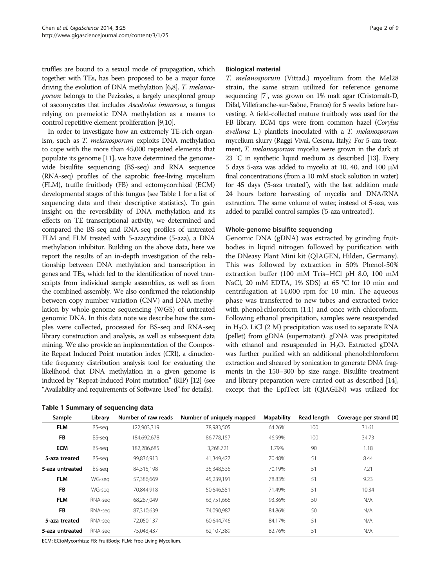<span id="page-1-0"></span>truffles are bound to a sexual mode of propagation, which together with TEs, has been proposed to be a major force driving the evolution of DNA methylation [\[6,8](#page-8-0)]. T. melanosporum belongs to the Pezizales, a largely unexplored group of ascomycetes that includes Ascobolus immersus, a fungus relying on premeiotic DNA methylation as a means to control repetitive element proliferation [\[9,10\]](#page-8-0).

In order to investigate how an extremely TE-rich organism, such as T. melanosporum exploits DNA methylation to cope with the more than 45,000 repeated elements that populate its genome [\[11](#page-8-0)], we have determined the genomewide bisulfite sequencing (BS-seq) and RNA sequence (RNA-seq) profiles of the saprobic free-living mycelium (FLM), truffle fruitbody (FB) and ectomycorrhizal (ECM) developmental stages of this fungus (see Table 1 for a list of sequencing data and their descriptive statistics). To gain insight on the reversibility of DNA methylation and its effects on TE transcriptional activity, we determined and compared the BS-seq and RNA-seq profiles of untreated FLM and FLM treated with 5-azacytidine (5-aza), a DNA methylation inhibitor. Building on the above data, here we report the results of an in-depth investigation of the relationship between DNA methylation and transcription in genes and TEs, which led to the identification of novel transcripts from individual sample assemblies, as well as from the combined assembly. We also confirmed the relationship between copy number variation (CNV) and DNA methylation by whole-genome sequencing (WGS) of untreated genomic DNA. In this data note we describe how the samples were collected, processed for BS-seq and RNA-seq library construction and analysis, as well as subsequent data mining. We also provide an implementation of the Composite Repeat Induced Point mutation index (CRI), a dinucleotide frequency distribution analysis tool for evaluating the likelihood that DNA methylation in a given genome is induced by "Repeat-Induced Point mutation" (RIP) [\[12\]](#page-8-0) (see "[Availability and requirements of Software Used](#page-7-0)" for details).

| Table 1 Summary of sequencing data |  |  |  |
|------------------------------------|--|--|--|
|------------------------------------|--|--|--|

#### Biological material

T. melanosporum (Vittad.) mycelium from the Mel28 strain, the same strain utilized for reference genome sequencing [\[7\]](#page-8-0), was grown on 1% malt agar (Cristomalt-D, Difal, Villefranche-sur-Saône, France) for 5 weeks before harvesting. A field-collected mature fruitbody was used for the FB library. ECM tips were from common hazel (Corylus avellana L.) plantlets inoculated with a T. melanosporum mycelium slurry (Raggi Vivai, Cesena, Italy). For 5-aza treatment, T. melanosporum mycelia were grown in the dark at 23 °C in synthetic liquid medium as described [\[13](#page-8-0)]. Every 5 days 5-aza was added to mycelia at 10, 40, and 100 μM final concentrations (from a 10 mM stock solution in water) for 45 days ('5-aza treated'), with the last addition made 24 hours before harvesting of mycelia and DNA/RNA extraction. The same volume of water, instead of 5-aza, was added to parallel control samples ('5-aza untreated').

#### Whole-genome bisulfite sequencing

Genomic DNA (gDNA) was extracted by grinding fruitbodies in liquid nitrogen followed by purification with the DNeasy Plant Mini kit (QIAGEN, Hilden, Germany). This was followed by extraction in 50% Phenol-50% extraction buffer (100 mM Tris–HCl pH 8.0, 100 mM NaCl, 20 mM EDTA, 1% SDS) at 65 °C for 10 min and centrifugation at 14,000 rpm for 10 min. The aqueous phase was transferred to new tubes and extracted twice with phenol:chloroform (1:1) and once with chloroform. Following ethanol precipitation, samples were resuspended in  $H<sub>2</sub>O$ . LiCl (2 M) precipitation was used to separate RNA (pellet) from gDNA (supernatant). gDNA was precipitated with ethanol and resuspended in  $H_2O$ . Extracted gDNA was further purified with an additional phenol:chloroform extraction and sheared by sonication to generate DNA fragments in the 150–300 bp size range. Bisulfite treatment and library preparation were carried out as described [\[14](#page-8-0)], except that the EpiTect kit (QIAGEN) was utilized for

| Sample          | Library | Number of raw reads | Number of uniquely mapped | <b>Mapability</b> | <b>Read length</b> | Coverage per strand (X) |
|-----------------|---------|---------------------|---------------------------|-------------------|--------------------|-------------------------|
| <b>FLM</b>      | BS-seg  | 122,903,319         | 78,983,505                | 64.26%            | 100                | 31.61                   |
| <b>FB</b>       | BS-seg  | 184,692,678         | 86,778,157                | 46.99%            | 100                | 34.73                   |
| <b>ECM</b>      | BS-seg  | 182,286,685         | 3,268,721                 | 1.79%             | 90                 | 1.18                    |
| 5-aza treated   | BS-seg  | 99,836,913          | 41,349,427                | 70.48%            | 51                 | 8.44                    |
| 5-aza untreated | BS-seg  | 84,315,198          | 35,348,536                | 70.19%            | 51                 | 7.21                    |
| <b>FLM</b>      | WG-sea  | 57,386,669          | 45,239,191                | 78.83%            | 51                 | 9.23                    |
| <b>FB</b>       | WG-sea  | 70,844,918          | 50,646,551                | 71.49%            | 51                 | 10.34                   |
| <b>FLM</b>      | RNA-sea | 68,287,049          | 63,751,666                | 93.36%            | 50                 | N/A                     |
| <b>FB</b>       | RNA-sea | 87.310.639          | 74.090.987                | 84.86%            | 50                 | N/A                     |
| 5-aza treated   | RNA-sea | 72,050,137          | 60,644,746                | 84.17%            | 51                 | N/A                     |
| 5-aza untreated | RNA-sea | 75,043,437          | 62,107,389                | 82.76%            | 51                 | N/A                     |

ECM: ECtoMycorrhiza; FB: FruitBody; FLM: Free-Living Mycelium.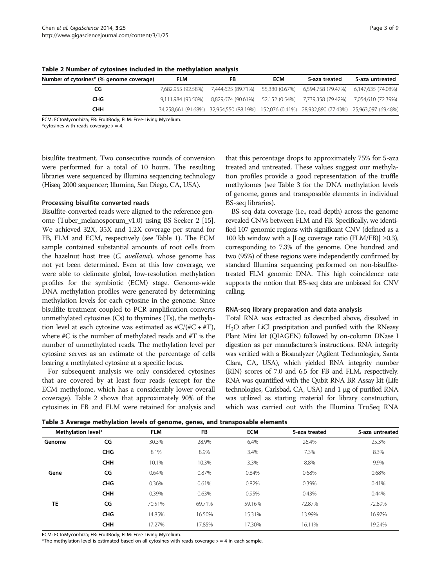| Number of cytosines* (% genome coverage) | FLM | FB                                                                                              | <b>ECM</b> | 5-aza treated | 5-aza untreated |
|------------------------------------------|-----|-------------------------------------------------------------------------------------------------|------------|---------------|-----------------|
| CG                                       |     | 7,682,955 (92.58%) 7,444,625 (89.71%) 55,380 (0.67%) 6,594,758 (79.47%) 6,147,635 (74.08%)      |            |               |                 |
| <b>CHG</b>                               |     | 9,111,984 (93.50%) 8,829,674 (90.61%) 52,152 (0.54%) 7,739,358 (79.42%) 7,054,610 (72.39%)      |            |               |                 |
| снн                                      |     | 34,258,661 (91.68%) 32,954,550 (88.19%) 152,076 (0.41%) 28,932,890 (77.43%) 25,963,097 (69.48%) |            |               |                 |

Table 2 Number of cytosines included in the methylation analysis

ECM: ECtoMycorrhiza; FB: FruitBody; FLM: Free-Living Mycelium.

\*cytosines with reads coverage  $>$  = 4.

bisulfite treatment. Two consecutive rounds of conversion were performed for a total of 10 hours. The resulting libraries were sequenced by Illumina sequencing technology (Hiseq 2000 sequencer; Illumina, San Diego, CA, USA).

### Processing bisulfite converted reads

Bisulfite-converted reads were aligned to the reference genome (Tuber\_melanosporum\_v1.0) using BS Seeker 2 [\[15](#page-8-0)]. We achieved 32X, 35X and 1.2X coverage per strand for FB, FLM and ECM, respectively (see Table [1\)](#page-1-0). The ECM sample contained substantial amounts of root cells from the hazelnut host tree (C. avellana), whose genome has not yet been determined. Even at this low coverage, we were able to delineate global, low-resolution methylation profiles for the symbiotic (ECM) stage. Genome-wide DNA methylation profiles were generated by determining methylation levels for each cytosine in the genome. Since bisulfite treatment coupled to PCR amplification converts unmethylated cytosines (Cs) to thymines (Ts), the methylation level at each cytosine was estimated as  $\#C/(\#C + \#T)$ , where #C is the number of methylated reads and #T is the number of unmethylated reads. The methylation level per cytosine serves as an estimate of the percentage of cells bearing a methylated cytosine at a specific locus.

For subsequent analysis we only considered cytosines that are covered by at least four reads (except for the ECM methylome, which has a considerably lower overall coverage). Table 2 shows that approximately 90% of the cytosines in FB and FLM were retained for analysis and that this percentage drops to approximately 75% for 5-aza treated and untreated. These values suggest our methylation profiles provide a good representation of the truffle methylomes (see Table 3 for the DNA methylation levels of genome, genes and transposable elements in individual BS-seq libraries).

BS-seq data coverage (i.e., read depth) across the genome revealed CNVs between FLM and FB. Specifically, we identified 107 genomic regions with significant CNV (defined as a 100 kb window with a  $|Log coverage ratio (FLM/FB)| \ge 0.3$ ), corresponding to 7.3% of the genome. One hundred and two (95%) of these regions were independently confirmed by standard Illumina sequencing performed on non-bisulfitetreated FLM genomic DNA. This high coincidence rate supports the notion that BS-seq data are unbiased for CNV calling.

## RNA-seq library preparation and data analysis

Total RNA was extracted as described above, dissolved in H2O after LiCl precipitation and purified with the RNeasy Plant Mini kit (QIAGEN) followed by on-column DNase I digestion as per manufacturer's instructions. RNA integrity was verified with a Bioanalyzer (Agilent Technologies, Santa Clara, CA, USA), which yielded RNA integrity number (RIN) scores of 7.0 and 6.5 for FB and FLM, respectively. RNA was quantified with the Qubit RNA BR Assay kit (Life technologies, Carlsbad, CA, USA) and 1 μg of purified RNA was utilized as starting material for library construction, which was carried out with the Illumina TruSeq RNA

|                    | -          | -          | -      |            |               |                 |
|--------------------|------------|------------|--------|------------|---------------|-----------------|
| Methylation level* |            | <b>FLM</b> | FB     | <b>ECM</b> | 5-aza treated | 5-aza untreated |
| Genome             | CG         | 30.3%      | 28.9%  | 6.4%       | 26.4%         | 25.3%           |
|                    | <b>CHG</b> | 8.1%       | 8.9%   | 3.4%       | 7.3%          | 8.3%            |
|                    | <b>CHH</b> | 10.1%      | 10.3%  | 3.3%       | 8.8%          | 9.9%            |
| Gene               | CG         | 0.64%      | 0.87%  | 0.84%      | 0.68%         | 0.68%           |
|                    | <b>CHG</b> | 0.36%      | 0.61%  | 0.82%      | 0.39%         | 0.41%           |
|                    | <b>CHH</b> | 0.39%      | 0.63%  | 0.95%      | 0.43%         | 0.44%           |
| <b>TE</b>          | CG         | 70.51%     | 69.71% | 59.16%     | 72.87%        | 72.89%          |
|                    | <b>CHG</b> | 14.85%     | 16.50% | 15.31%     | 13.99%        | 16.97%          |
|                    | <b>CHH</b> | 17.27%     | 17.85% | 17.30%     | 16.11%        | 19.24%          |
|                    |            |            |        |            |               |                 |

ECM: ECtoMycorrhiza; FB: FruitBody; FLM: Free-Living Mycelium.

\*The methylation level is estimated based on all cytosines with reads coverage  $>$  = 4 in each sample.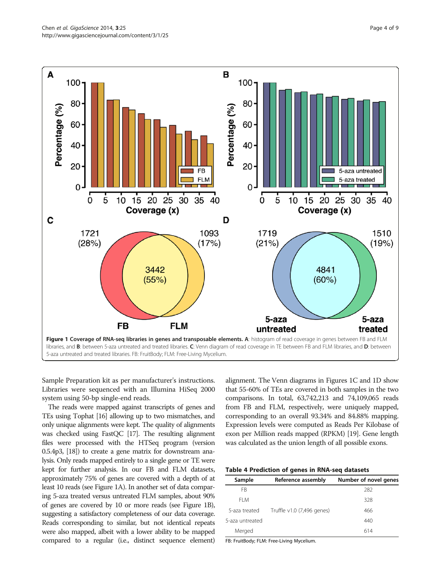<span id="page-3-0"></span>

Sample Preparation kit as per manufacturer's instructions. Libraries were sequenced with an Illumina HiSeq 2000 system using 50-bp single-end reads.

The reads were mapped against transcripts of genes and TEs using Tophat [\[16](#page-8-0)] allowing up to two mismatches, and only unique alignments were kept. The quality of alignments was checked using FastQC [[17\]](#page-8-0). The resulting alignment files were processed with the HTSeq program (version 0.5.4p3, [\[18\]](#page-8-0)) to create a gene matrix for downstream analysis. Only reads mapped entirely to a single gene or TE were kept for further analysis. In our FB and FLM datasets, approximately 75% of genes are covered with a depth of at least 10 reads (see Figure 1A). In another set of data comparing 5-aza treated versus untreated FLM samples, about 90% of genes are covered by 10 or more reads (see Figure 1B), suggesting a satisfactory completeness of our data coverage. Reads corresponding to similar, but not identical repeats were also mapped, albeit with a lower ability to be mapped compared to a regular (i.e., distinct sequence element)

alignment. The Venn diagrams in Figures 1C and 1D show that 55-60% of TEs are covered in both samples in the two comparisons. In total, 63,742,213 and 74,109,065 reads from FB and FLM, respectively, were uniquely mapped, corresponding to an overall 93.34% and 84.88% mapping. Expression levels were computed as Reads Per Kilobase of exon per Million reads mapped (RPKM) [\[19\]](#page-8-0). Gene length was calculated as the union length of all possible exons.

|  | Table 4 Prediction of genes in RNA-seq datasets |  |  |  |  |  |
|--|-------------------------------------------------|--|--|--|--|--|
|--|-------------------------------------------------|--|--|--|--|--|

| Sample          | Reference assembly         | Number of novel genes |
|-----------------|----------------------------|-----------------------|
| FB              |                            | 282                   |
| FI M            |                            | 328                   |
| 5-aza treated   | Truffle v1.0 (7,496 genes) | 466                   |
| 5-aza untreated |                            | 440                   |
| Merged          |                            | 614                   |

FB: FruitBody; FLM: Free-Living Mycelium.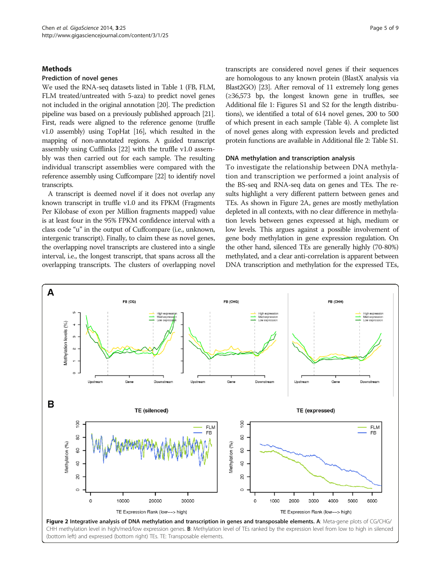# <span id="page-4-0"></span>**Methods**

## Prediction of novel genes

We used the RNA-seq datasets listed in Table [1](#page-1-0) (FB, FLM, FLM treated/untreated with 5-aza) to predict novel genes not included in the original annotation [\[20](#page-8-0)]. The prediction pipeline was based on a previously published approach [\[21\]](#page-8-0). First, reads were aligned to the reference genome (truffle v1.0 assembly) using TopHat [\[16](#page-8-0)], which resulted in the mapping of non-annotated regions. A guided transcript assembly using Cufflinks [\[22\]](#page-8-0) with the truffle v1.0 assembly was then carried out for each sample. The resulting individual transcript assemblies were compared with the reference assembly using Cuffcompare [\[22](#page-8-0)] to identify novel transcripts.

A transcript is deemed novel if it does not overlap any known transcript in truffle v1.0 and its FPKM (Fragments Per Kilobase of exon per Million fragments mapped) value is at least four in the 95% FPKM confidence interval with a class code "u" in the output of Cuffcompare (i.e., unknown, intergenic transcript). Finally, to claim these as novel genes, the overlapping novel transcripts are clustered into a single interval, i.e., the longest transcript, that spans across all the overlapping transcripts. The clusters of overlapping novel transcripts are considered novel genes if their sequences are homologous to any known protein (BlastX analysis via Blast2GO) [[23\]](#page-8-0). After removal of 11 extremely long genes (≥36,573 bp, the longest known gene in truffles, see Additional file [1:](#page-7-0) Figures S1 and S2 for the length distributions), we identified a total of 614 novel genes, 200 to 500 of which present in each sample (Table [4\)](#page-3-0). A complete list of novel genes along with expression levels and predicted protein functions are available in Additional file [2:](#page-7-0) Table S1.

#### DNA methylation and transcription analysis

To investigate the relationship between DNA methylation and transcription we performed a joint analysis of the BS-seq and RNA-seq data on genes and TEs. The results highlight a very different pattern between genes and TEs. As shown in Figure 2A, genes are mostly methylation depleted in all contexts, with no clear difference in methylation levels between genes expressed at high, medium or low levels. This argues against a possible involvement of gene body methylation in gene expression regulation. On the other hand, silenced TEs are generally highly (70-80%) methylated, and a clear anti-correlation is apparent between DNA transcription and methylation for the expressed TEs,



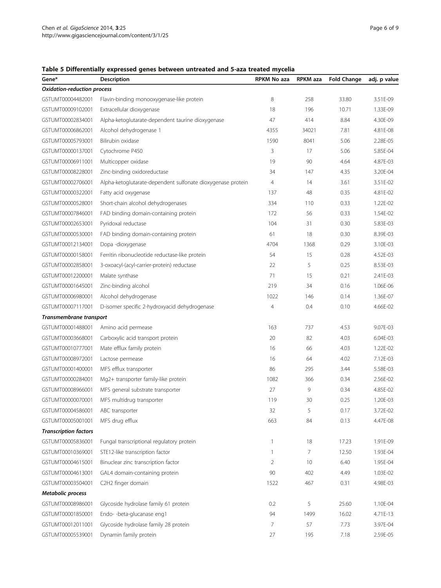# <span id="page-5-0"></span>Table 5 Differentially expressed genes between untreated and 5-aza treated mycelia

| Gene*                              | Description                                                 | <b>RPKM No aza</b> | RPKM aza | <b>Fold Change</b> | adj. p value |
|------------------------------------|-------------------------------------------------------------|--------------------|----------|--------------------|--------------|
| <b>Oxidation-reduction process</b> |                                                             |                    |          |                    |              |
| GSTUMT00004482001                  | Flavin-binding monooxygenase-like protein                   | 8                  | 258      | 33.80              | 3.51E-09     |
| GSTUMT00009102001                  | Extracellular dioxygenase                                   | 18                 | 196      | 10.71              | 1.33E-09     |
| GSTUMT00002834001                  | Alpha-ketoglutarate-dependent taurine dioxygenase           | 47                 | 414      | 8.84               | 4.30E-09     |
| GSTUMT00006862001                  | Alcohol dehydrogenase 1                                     | 4355               | 34021    | 7.81               | 4.81E-08     |
| GSTUMT00005793001                  | Bilirubin oxidase                                           | 1590               | 8041     | 5.06               | 2.28E-05     |
| GSTUMT00000137001                  | Cytochrome P450                                             | 3                  | 17       | 5.06               | 5.85E-04     |
| GSTUMT00006911001                  | Multicopper oxidase                                         | 19                 | 90       | 4.64               | 4.87E-03     |
| GSTUMT00008228001                  | Zinc-binding oxidoreductase                                 | 34                 | 147      | 4.35               | 3.20E-04     |
| GSTUMT00002706001                  | Alpha-ketoglutarate-dependent sulfonate dioxygenase protein | $\overline{4}$     | 14       | 3.61               | 3.51E-02     |
| GSTUMT00000322001                  | Fatty acid oxygenase                                        | 137                | 48       | 0.35               | 4.81E-02     |
| GSTUMT00000528001                  | Short-chain alcohol dehydrogenases                          | 334                | 110      | 0.33               | 1.22E-02     |
| GSTUMT00007846001                  | FAD binding domain-containing protein                       | 172                | 56       | 0.33               | 1.54E-02     |
| GSTUMT00002653001                  | Pyridoxal reductase                                         | 104                | 31       | 0.30               | 5.83E-03     |
| GSTUMT00000530001                  | FAD binding domain-containing protein                       | 61                 | 18       | 0.30               | 8.39E-03     |
| GSTUMT00012134001                  | Dopa -dioxygenase                                           | 4704               | 1368     | 0.29               | 3.10E-03     |
| GSTUMT00000158001                  | Ferritin ribonucleotide reductase-like protein              | 54                 | 15       | 0.28               | 4.52E-03     |
| GSTUMT00002858001                  | 3-oxoacyl-(acyl-carrier-protein) reductase                  | 22                 | 5        | 0.25               | 8.53E-03     |
| GSTUMT00012200001                  | Malate synthase                                             | 71                 | 15       | 0.21               | 2.41E-03     |
| GSTUMT00001645001                  | Zinc-binding alcohol                                        | 219                | 34       | 0.16               | 1.06E-06     |
| GSTUMT00006980001                  | Alcohol dehydrogenase                                       | 1022               | 146      | 0.14               | 1.36E-07     |
| GSTUMT00007117001                  | D-isomer specific 2-hydroxyacid dehydrogenase               | $\overline{4}$     | 0.4      | 0.10               | 4.66E-02     |
| Transmembrane transport            |                                                             |                    |          |                    |              |
| GSTUMT00001488001                  | Amino acid permease                                         | 163                | 737      | 4.53               | 9.07E-03     |
| GSTUMT00003668001                  | Carboxylic acid transport protein                           | 20                 | 82       | 4.03               | 6.04E-03     |
| GSTUMT00010777001                  | Mate efflux family protein                                  | 16                 | 66       | 4.03               | 1.22E-02     |
| GSTUMT00008972001                  | Lactose permease                                            | 16                 | 64       | 4.02               | 7.12E-03     |
| GSTUMT00001400001                  | MFS efflux transporter                                      | 86                 | 295      | 3.44               | 5.58E-03     |
| GSTUMT00000284001                  | Mg2+ transporter family-like protein                        | 1082               | 366      | 0.34               | 2.56E-02     |
| GSTUMT00008966001                  | MFS general substrate transporter                           | 27                 | 9        | 0.34               | 4.85E-02     |
| GSTUMT00000070001                  | MFS multidrug transporter                                   | 119                | 30       | 0.25               | 1.20E-03     |
| GSTUMT00004586001                  | ABC transporter                                             | 32                 | 5        | 0.17               | 3.72E-02     |
| GSTUMT00005001001                  | MFS drug efflux                                             | 663                | 84       | 0.13               | 4.47E-08     |
| <b>Transcription factors</b>       |                                                             |                    |          |                    |              |
| GSTUMT00005836001                  | Fungal transcriptional regulatory protein                   | $\mathbf{1}$       | 18       | 17.23              | 1.91E-09     |
| GSTUMT00010369001                  | STE12-like transcription factor                             | $\mathbf{1}$       | 7        | 12.50              | 1.93E-04     |
| GSTUMT00004615001                  | Binuclear zinc transcription factor                         | $\overline{2}$     | 10       | 6.40               | 1.95E-04     |
| GSTUMT00004613001                  | GAL4 domain-containing protein                              | 90                 | 402      | 4.49               | 1.03E-02     |
| GSTUMT00003504001                  | C2H2 finger domain                                          | 1522               | 467      | 0.31               | 4.98E-03     |
| Metabolic process                  |                                                             |                    |          |                    |              |
| GSTUMT00008986001                  | Glycoside hydrolase family 61 protein                       | 0.2                | 5        | 25.60              | 1.10E-04     |
| GSTUMT00001850001                  | Endo--beta-glucanase eng1                                   | 94                 | 1499     | 16.02              | 4.71E-13     |
| GSTUMT00012011001                  | Glycoside hydrolase family 28 protein                       | 7                  | 57       | 7.73               | 3.97E-04     |
| GSTUMT00005539001                  | Dynamin family protein                                      | 27                 | 195      | 7.18               | 2.59E-05     |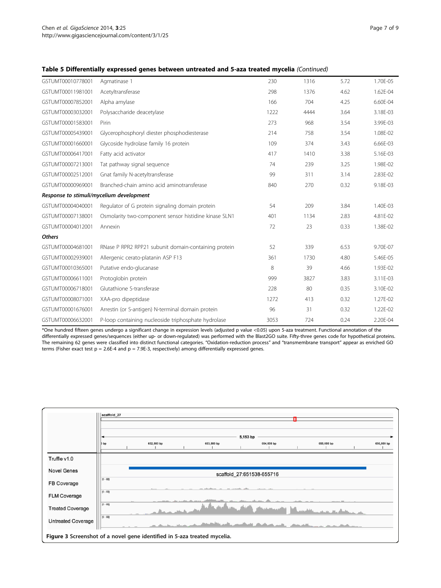### <span id="page-6-0"></span>Table 5 Differentially expressed genes between untreated and 5-aza treated mycelia (Continued)

| GSTUMT00010778001 | Agmatinase 1                                          | 230  | 1316 | 5.72 | 1.70E-05 |
|-------------------|-------------------------------------------------------|------|------|------|----------|
| GSTUMT00011981001 | Acetyltransferase                                     | 298  | 1376 | 4.62 | 1.62E-04 |
| GSTUMT00007852001 | Alpha amylase                                         | 166  | 704  | 4.25 | 6.60E-04 |
| GSTUMT00003032001 | Polysaccharide deacetylase                            | 1222 | 4444 | 3.64 | 3.18E-03 |
| GSTUMT00001583001 | Pirin                                                 | 273  | 968  | 3.54 | 3.99E-03 |
| GSTUMT00005439001 | Glycerophosphoryl diester phosphodiesterase           | 214  | 758  | 3.54 | 1.08E-02 |
| GSTUMT00001660001 | Glycoside hydrolase family 16 protein                 | 109  | 374  | 3.43 | 6.66E-03 |
| GSTUMT00006417001 | Fatty acid activator                                  | 417  | 1410 | 3.38 | 5.16E-03 |
| GSTUMT00007213001 | Tat pathway signal sequence                           | 74   | 239  | 3.25 | 1.98E-02 |
| GSTUMT00002512001 | Gnat family N-acetyltransferase                       | 99   | 311  | 3.14 | 2.83E-02 |
| GSTUMT00000969001 | Branched-chain amino acid aminotransferase            | 840  | 270  | 0.32 | 9.18E-03 |
|                   | Response to stimuli/mycelium development              |      |      |      |          |
| GSTUMT00004040001 | Regulator of G protein signaling domain protein       | 54   | 209  | 3.84 | 1.40E-03 |
| GSTUMT00007138001 | Osmolarity two-component sensor histidine kinase SLN1 | 401  | 1134 | 2.83 | 4.81E-02 |
| GSTUMT00004012001 | Annexin                                               | 72   | 23   | 0.33 | 1.38E-02 |
| <b>Others</b>     |                                                       |      |      |      |          |
| GSTUMT00004681001 | RNase P RPR2 RPP21 subunit domain-containing protein  | 52   | 339  | 6.53 | 9.70E-07 |
| GSTUMT00002939001 | Allergenic cerato-platanin ASP F13                    | 361  | 1730 | 4.80 | 5.46E-05 |
| GSTUMT00010365001 | Putative endo-glucanase                               | 8    | 39   | 4.66 | 1.93E-02 |
| GSTUMT00006611001 | Protoglobin protein                                   | 999  | 3827 | 3.83 | 3.11E-03 |
| GSTUMT00006718001 | Glutathione S-transferase                             | 228  | 80   | 0.35 | 3.10E-02 |
| GSTUMT00008071001 | XAA-pro dipeptidase                                   | 1272 | 413  | 0.32 | 1.27E-02 |
| GSTUMT00001676001 | Arrestin (or S-antigen) N-terminal domain protein     | 96   | 31   | 0.32 | 1.22E-02 |
| GSTUMT00006632001 | P-loop containing nucleoside triphosphate hydrolase   | 3053 | 724  | 0.24 | 2.20E-04 |

 $\overline{*}$ One hundred fifteen genes undergo a significant change in expression levels (adjusted p value <0.05) upon 5-aza treatment. Functional annotation of the differentially expressed genes/sequences (either up- or down-regulated) was performed with the Blast2GO suite. Fifty-three genes code for hypothetical proteins. The remaining 62 genes were classified into distinct functional categories. "Oxidation-reduction process" and "transmembrane transport" appear as enriched GO terms (Fisher exact test  $p = 2.6E-4$  and  $p = 7.9E-3$ , respectively) among differentially expressed genes.

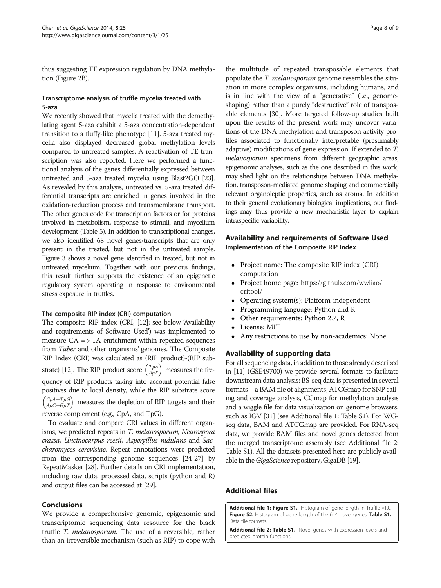<span id="page-7-0"></span>thus suggesting TE expression regulation by DNA methylation (Figure [2B](#page-4-0)).

# Transcriptome analysis of truffle mycelia treated with 5-aza

We recently showed that mycelia treated with the demethylating agent 5-aza exhibit a 5-aza concentration-dependent transition to a fluffy-like phenotype [\[11](#page-8-0)]. 5-aza treated mycelia also displayed decreased global methylation levels compared to untreated samples. A reactivation of TE transcription was also reported. Here we performed a functional analysis of the genes differentially expressed between untreated and 5-aza treated mycelia using Blast2GO [\[23](#page-8-0)]. As revealed by this analysis, untreated vs. 5-aza treated differential transcripts are enriched in genes involved in the oxidation-reduction process and transmembrane transport. The other genes code for transcription factors or for proteins involved in metabolism, response to stimuli, and mycelium development (Table [5\)](#page-5-0). In addition to transcriptional changes, we also identified 68 novel genes/transcripts that are only present in the treated, but not in the untreated sample. Figure [3](#page-6-0) shows a novel gene identified in treated, but not in untreated mycelium. Together with our previous findings, this result further supports the existence of an epigenetic regulatory system operating in response to environmental stress exposure in truffles.

#### The composite RIP index (CRI) computation

The composite RIP index (CRI, [\[12](#page-8-0)]; see below 'Availability and requirements of Software Used') was implemented to measure  $CA = > TA$  enrichment within repeated sequences from Tuber and other organisms' genomes. The Composite RIP Index (CRI) was calculated as (RIP product)-(RIP sub-strate) [\[12\]](#page-8-0). The RIP product score  $\left(\frac{T_{PA}}{ApT}\right)$  measures the frequency of RIP products taking into account potential false positives due to local density, while the RIP substrate score  $\left(\frac{CpA+TpG}{ApC+GpT}\right)$ measures the depletion of RIP targets and their reverse complement (e.g., CpA, and TpG).

To evaluate and compare CRI values in different organisms, we predicted repeats in T. melanosporum, Neurospora crassa, Uncinocarpus reesii, Aspergillus nidulans and Saccharomyces cerevisiae. Repeat annotations were predicted from the corresponding genome sequences [[24-27\]](#page-8-0) by RepeatMasker [\[28\]](#page-8-0). Further details on CRI implementation, including raw data, processed data, scripts (python and R) and output files can be accessed at [\[29\]](#page-8-0).

#### Conclusions

We provide a comprehensive genomic, epigenomic and transcriptomic sequencing data resource for the black truffle T. melanosporum. The use of a reversible, rather than an irreversible mechanism (such as RIP) to cope with

the multitude of repeated transposable elements that populate the *T. melanosporum* genome resembles the situation in more complex organisms, including humans, and is in line with the view of a "generative" (i.e., genomeshaping) rather than a purely "destructive" role of transposable elements [\[30](#page-8-0)]. More targeted follow-up studies built upon the results of the present work may uncover variations of the DNA methylation and transposon activity profiles associated to functionally interpretable (presumably adaptive) modifications of gene expression. If extended to T. melanosporum specimens from different geographic areas, epigenomic analyses, such as the one described in this work, may shed light on the relationships between DNA methylation, transposon-mediated genome shaping and commercially relevant organoleptic properties, such as aroma. In addition to their general evolutionary biological implications, our findings may thus provide a new mechanistic layer to explain intraspecific variability.

# Availability and requirements of Software Used Implementation of the Composite RIP Index

- Project name: The composite RIP index (CRI) computation
- $\bullet$  Project home page: [https://github.com/wwliao/](https://github.com/wwliao/critool/) [critool/](https://github.com/wwliao/critool/)
- Operating system(s): Platform-independent
- -Programming language: Python and R
- -Other requirements: Python 2.7, R
- -License: MIT
- -Any restrictions to use by non-academics: None

## Availability of supporting data

For all sequencing data, in addition to those already described in [[11](#page-8-0)] (GSE49700) we provide several formats to facilitate downstream data analysis: BS-seq data is presented in several formats – a BAM file of alignments, ATCGmap for SNP calling and coverage analysis, CGmap for methylation analysis and a wiggle file for data visualization on genome browsers, such as IGV [\[31\]](#page-8-0) (see Additional file 1: Table S1). For WGseq data, BAM and ATCGmap are provided. For RNA-seq data, we provide BAM files and novel genes detected from the merged transcriptome assembly (see Additional file 2: Table S1). All the datasets presented here are publicly available in the *GigaScience* repository, GigaDB [[19](#page-8-0)].

# Additional files

[Additional file 1: Figure S1.](http://www.biomedcentral.com/content/supplementary/2047-217X-3-25-S1.docx) Histogram of gene length in Truffle v1.0. Figure S2. Histogram of gene length of the 614 novel genes. Table S1. Data file formats.

[Additional file 2: Table S1.](http://www.biomedcentral.com/content/supplementary/2047-217X-3-25-S2.xlsx) Novel genes with expression levels and predicted protein functions.